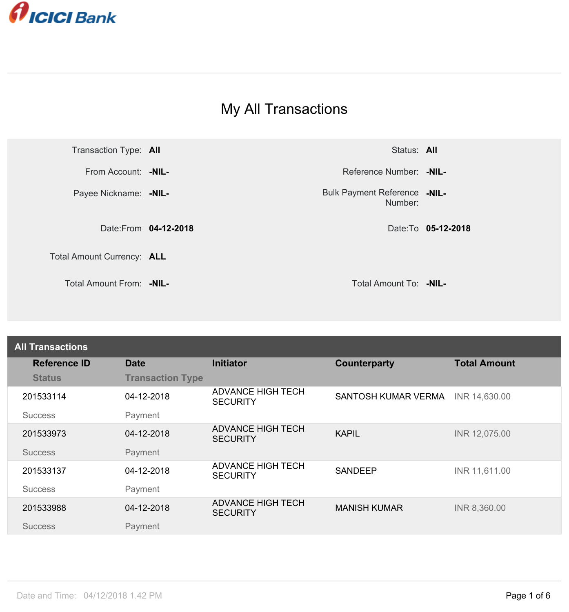

## My All Transactions



Number: **Bulk Payment Reference -NIL-**

| <b>All Transactions</b> |                         |                                             |                            |                     |
|-------------------------|-------------------------|---------------------------------------------|----------------------------|---------------------|
| <b>Reference ID</b>     | <b>Date</b>             | <b>Initiator</b>                            | <b>Counterparty</b>        | <b>Total Amount</b> |
| <b>Status</b>           | <b>Transaction Type</b> |                                             |                            |                     |
| 201533114               | 04-12-2018              | <b>ADVANCE HIGH TECH</b><br><b>SECURITY</b> | <b>SANTOSH KUMAR VERMA</b> | INR 14,630.00       |
| <b>Success</b>          | Payment                 |                                             |                            |                     |
| 201533973               | 04-12-2018              | <b>ADVANCE HIGH TECH</b><br><b>SECURITY</b> | <b>KAPIL</b>               | INR 12,075.00       |
| <b>Success</b>          | Payment                 |                                             |                            |                     |
| 201533137               | 04-12-2018              | <b>ADVANCE HIGH TECH</b><br><b>SECURITY</b> | <b>SANDEEP</b>             | INR 11,611.00       |
| <b>Success</b>          | Payment                 |                                             |                            |                     |
| 201533988               | 04-12-2018              | <b>ADVANCE HIGH TECH</b><br><b>SECURITY</b> | <b>MANISH KUMAR</b>        | INR 8,360.00        |
| <b>Success</b>          | Payment                 |                                             |                            |                     |
|                         |                         |                                             |                            |                     |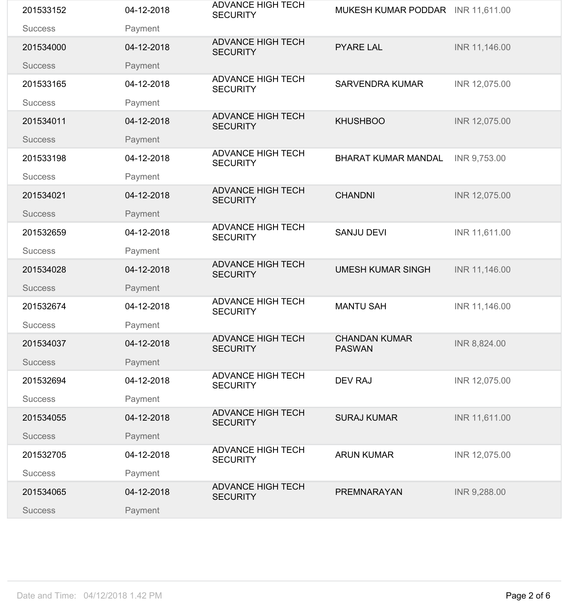| 201533152      | 04-12-2018 | <b>ADVANCE HIGH TECH</b><br><b>SECURITY</b> | MUKESH KUMAR PODDAR INR 11,611.00     |               |
|----------------|------------|---------------------------------------------|---------------------------------------|---------------|
| <b>Success</b> | Payment    |                                             |                                       |               |
| 201534000      | 04-12-2018 | <b>ADVANCE HIGH TECH</b><br><b>SECURITY</b> | <b>PYARE LAL</b>                      | INR 11,146.00 |
| <b>Success</b> | Payment    |                                             |                                       |               |
| 201533165      | 04-12-2018 | <b>ADVANCE HIGH TECH</b><br><b>SECURITY</b> | <b>SARVENDRA KUMAR</b>                | INR 12,075.00 |
| <b>Success</b> | Payment    |                                             |                                       |               |
| 201534011      | 04-12-2018 | <b>ADVANCE HIGH TECH</b><br><b>SECURITY</b> | <b>KHUSHBOO</b>                       | INR 12,075.00 |
| <b>Success</b> | Payment    |                                             |                                       |               |
| 201533198      | 04-12-2018 | <b>ADVANCE HIGH TECH</b><br><b>SECURITY</b> | <b>BHARAT KUMAR MANDAL</b>            | INR 9,753.00  |
| <b>Success</b> | Payment    | <b>ADVANCE HIGH TECH</b>                    |                                       |               |
| 201534021      | 04-12-2018 | <b>SECURITY</b>                             | <b>CHANDNI</b>                        | INR 12,075.00 |
| <b>Success</b> | Payment    |                                             |                                       |               |
| 201532659      | 04-12-2018 | <b>ADVANCE HIGH TECH</b><br><b>SECURITY</b> | <b>SANJU DEVI</b>                     | INR 11,611.00 |
| <b>Success</b> | Payment    |                                             |                                       |               |
| 201534028      | 04-12-2018 | <b>ADVANCE HIGH TECH</b><br><b>SECURITY</b> | <b>UMESH KUMAR SINGH</b>              | INR 11,146.00 |
| <b>Success</b> | Payment    |                                             |                                       |               |
| 201532674      | 04-12-2018 | <b>ADVANCE HIGH TECH</b><br><b>SECURITY</b> | <b>MANTU SAH</b>                      | INR 11,146.00 |
| <b>Success</b> | Payment    |                                             |                                       |               |
| 201534037      | 04-12-2018 | <b>ADVANCE HIGH TECH</b><br><b>SECURITY</b> | <b>CHANDAN KUMAR</b><br><b>PASWAN</b> | INR 8,824.00  |
| <b>Success</b> | Payment    |                                             |                                       |               |
| 201532694      | 04-12-2018 | <b>ADVANCE HIGH TECH</b><br><b>SECURITY</b> | <b>DEV RAJ</b>                        | INR 12,075.00 |
| <b>Success</b> | Payment    |                                             |                                       |               |
| 201534055      | 04-12-2018 | <b>ADVANCE HIGH TECH</b><br><b>SECURITY</b> | <b>SURAJ KUMAR</b>                    | INR 11,611.00 |
| <b>Success</b> | Payment    |                                             |                                       |               |
| 201532705      | 04-12-2018 | <b>ADVANCE HIGH TECH</b><br><b>SECURITY</b> | <b>ARUN KUMAR</b>                     | INR 12,075.00 |
| <b>Success</b> | Payment    |                                             |                                       |               |
| 201534065      | 04-12-2018 | <b>ADVANCE HIGH TECH</b><br><b>SECURITY</b> | <b>PREMNARAYAN</b>                    | INR 9,288.00  |
| <b>Success</b> | Payment    |                                             |                                       |               |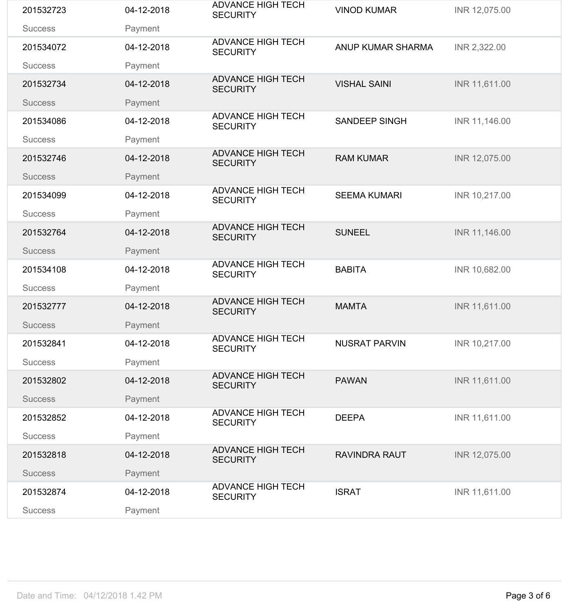| 201532723      | 04-12-2018 | <b>ADVANCE HIGH TECH</b><br><b>SECURITY</b> | <b>VINOD KUMAR</b>   | INR 12,075.00 |
|----------------|------------|---------------------------------------------|----------------------|---------------|
| <b>Success</b> | Payment    |                                             |                      |               |
| 201534072      | 04-12-2018 | <b>ADVANCE HIGH TECH</b><br><b>SECURITY</b> | ANUP KUMAR SHARMA    | INR 2,322.00  |
| <b>Success</b> | Payment    |                                             |                      |               |
| 201532734      | 04-12-2018 | <b>ADVANCE HIGH TECH</b><br><b>SECURITY</b> | <b>VISHAL SAINI</b>  | INR 11,611.00 |
| <b>Success</b> | Payment    |                                             |                      |               |
| 201534086      | 04-12-2018 | <b>ADVANCE HIGH TECH</b><br><b>SECURITY</b> | <b>SANDEEP SINGH</b> | INR 11,146.00 |
| <b>Success</b> | Payment    |                                             |                      |               |
| 201532746      | 04-12-2018 | <b>ADVANCE HIGH TECH</b><br><b>SECURITY</b> | <b>RAM KUMAR</b>     | INR 12,075.00 |
| <b>Success</b> | Payment    |                                             |                      |               |
| 201534099      | 04-12-2018 | <b>ADVANCE HIGH TECH</b><br><b>SECURITY</b> | <b>SEEMA KUMARI</b>  | INR 10,217.00 |
| <b>Success</b> | Payment    |                                             |                      |               |
| 201532764      | 04-12-2018 | <b>ADVANCE HIGH TECH</b><br><b>SECURITY</b> | <b>SUNEEL</b>        | INR 11,146.00 |
| <b>Success</b> | Payment    |                                             |                      |               |
| 201534108      | 04-12-2018 | <b>ADVANCE HIGH TECH</b><br><b>SECURITY</b> | <b>BABITA</b>        | INR 10,682.00 |
| <b>Success</b> | Payment    |                                             |                      |               |
| 201532777      | 04-12-2018 | <b>ADVANCE HIGH TECH</b><br><b>SECURITY</b> | <b>MAMTA</b>         | INR 11,611.00 |
| <b>Success</b> | Payment    |                                             |                      |               |
| 201532841      | 04-12-2018 | <b>ADVANCE HIGH TECH</b><br><b>SECURITY</b> | <b>NUSRAT PARVIN</b> | INR 10,217.00 |
| <b>Success</b> | Payment    |                                             |                      |               |
| 201532802      | 04-12-2018 | <b>ADVANCE HIGH TECH</b><br><b>SECURITY</b> | <b>PAWAN</b>         | INR 11,611.00 |
| <b>Success</b> | Payment    |                                             |                      |               |
| 201532852      | 04-12-2018 | <b>ADVANCE HIGH TECH</b><br><b>SECURITY</b> | <b>DEEPA</b>         | INR 11,611.00 |
| <b>Success</b> | Payment    |                                             |                      |               |
| 201532818      | 04-12-2018 | <b>ADVANCE HIGH TECH</b><br><b>SECURITY</b> | <b>RAVINDRA RAUT</b> | INR 12,075.00 |
| <b>Success</b> | Payment    |                                             |                      |               |
| 201532874      | 04-12-2018 | <b>ADVANCE HIGH TECH</b><br><b>SECURITY</b> | <b>ISRAT</b>         | INR 11,611.00 |
| <b>Success</b> | Payment    |                                             |                      |               |
|                |            |                                             |                      |               |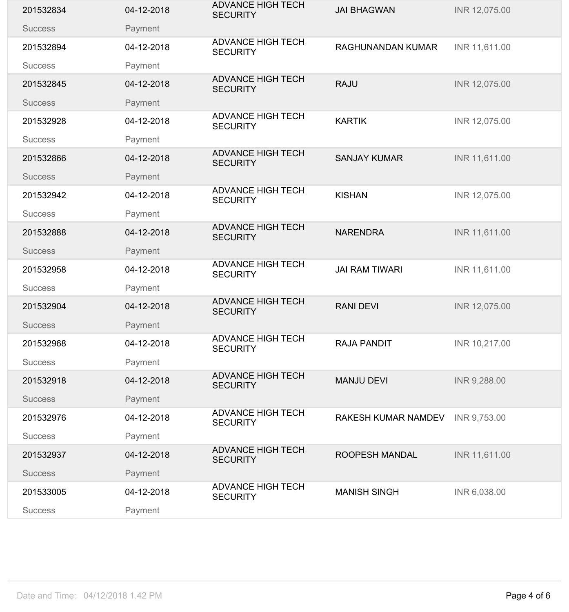| 201532834      | 04-12-2018 | <b>ADVANCE HIGH TECH</b><br><b>SECURITY</b> | <b>JAI BHAGWAN</b>       | INR 12,075.00 |
|----------------|------------|---------------------------------------------|--------------------------|---------------|
| <b>Success</b> | Payment    |                                             |                          |               |
| 201532894      | 04-12-2018 | <b>ADVANCE HIGH TECH</b><br><b>SECURITY</b> | <b>RAGHUNANDAN KUMAR</b> | INR 11,611.00 |
| <b>Success</b> | Payment    |                                             |                          |               |
| 201532845      | 04-12-2018 | <b>ADVANCE HIGH TECH</b><br><b>SECURITY</b> | <b>RAJU</b>              | INR 12,075.00 |
| <b>Success</b> | Payment    |                                             |                          |               |
| 201532928      | 04-12-2018 | <b>ADVANCE HIGH TECH</b><br><b>SECURITY</b> | <b>KARTIK</b>            | INR 12,075.00 |
| <b>Success</b> | Payment    |                                             |                          |               |
| 201532866      | 04-12-2018 | <b>ADVANCE HIGH TECH</b><br><b>SECURITY</b> | <b>SANJAY KUMAR</b>      | INR 11,611.00 |
| <b>Success</b> | Payment    | <b>ADVANCE HIGH TECH</b>                    |                          |               |
| 201532942      | 04-12-2018 | <b>SECURITY</b>                             | <b>KISHAN</b>            | INR 12,075.00 |
| <b>Success</b> | Payment    |                                             |                          |               |
| 201532888      | 04-12-2018 | <b>ADVANCE HIGH TECH</b><br><b>SECURITY</b> | <b>NARENDRA</b>          | INR 11,611.00 |
| <b>Success</b> | Payment    |                                             |                          |               |
| 201532958      | 04-12-2018 | <b>ADVANCE HIGH TECH</b><br><b>SECURITY</b> | <b>JAI RAM TIWARI</b>    | INR 11,611.00 |
| <b>Success</b> | Payment    |                                             |                          |               |
| 201532904      | 04-12-2018 | <b>ADVANCE HIGH TECH</b><br><b>SECURITY</b> | <b>RANI DEVI</b>         | INR 12,075.00 |
| <b>Success</b> | Payment    |                                             |                          |               |
| 201532968      | 04-12-2018 | <b>ADVANCE HIGH TECH</b><br><b>SECURITY</b> | <b>RAJA PANDIT</b>       | INR 10,217.00 |
| <b>Success</b> | Payment    |                                             |                          |               |
| 201532918      | 04-12-2018 | <b>ADVANCE HIGH TECH</b><br><b>SECURITY</b> | <b>MANJU DEVI</b>        | INR 9,288.00  |
| <b>Success</b> | Payment    |                                             |                          |               |
| 201532976      | 04-12-2018 | <b>ADVANCE HIGH TECH</b><br><b>SECURITY</b> | RAKESH KUMAR NAMDEV      | INR 9,753.00  |
| <b>Success</b> | Payment    |                                             |                          |               |
| 201532937      | 04-12-2018 | <b>ADVANCE HIGH TECH</b><br><b>SECURITY</b> | ROOPESH MANDAL           | INR 11,611.00 |
| <b>Success</b> | Payment    |                                             |                          |               |
| 201533005      | 04-12-2018 | <b>ADVANCE HIGH TECH</b><br><b>SECURITY</b> | <b>MANISH SINGH</b>      | INR 6,038.00  |
| <b>Success</b> | Payment    |                                             |                          |               |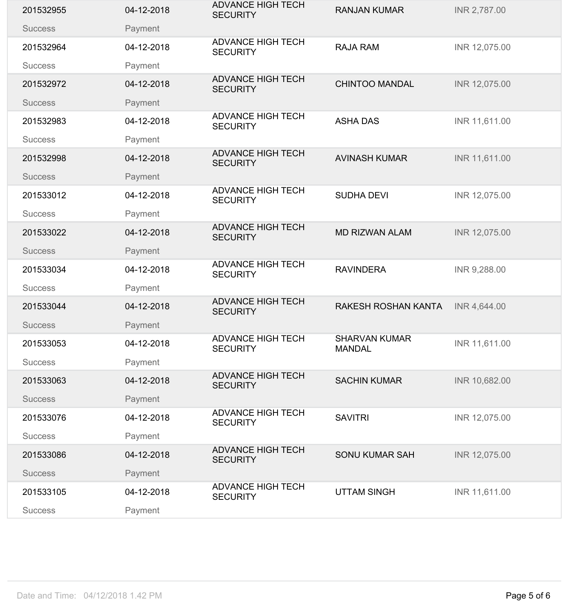| 201532955      | 04-12-2018 | <b>ADVANCE HIGH TECH</b><br><b>SECURITY</b> | <b>RANJAN KUMAR</b>                   | INR 2,787.00  |
|----------------|------------|---------------------------------------------|---------------------------------------|---------------|
| <b>Success</b> | Payment    |                                             |                                       |               |
| 201532964      | 04-12-2018 | <b>ADVANCE HIGH TECH</b><br><b>SECURITY</b> | <b>RAJA RAM</b>                       | INR 12,075.00 |
| <b>Success</b> | Payment    |                                             |                                       |               |
| 201532972      | 04-12-2018 | <b>ADVANCE HIGH TECH</b><br><b>SECURITY</b> | <b>CHINTOO MANDAL</b>                 | INR 12,075.00 |
| <b>Success</b> | Payment    |                                             |                                       |               |
| 201532983      | 04-12-2018 | <b>ADVANCE HIGH TECH</b><br><b>SECURITY</b> | <b>ASHA DAS</b>                       | INR 11,611.00 |
| <b>Success</b> | Payment    |                                             |                                       |               |
| 201532998      | 04-12-2018 | <b>ADVANCE HIGH TECH</b><br><b>SECURITY</b> | <b>AVINASH KUMAR</b>                  | INR 11,611.00 |
| <b>Success</b> | Payment    | <b>ADVANCE HIGH TECH</b>                    |                                       |               |
| 201533012      | 04-12-2018 | <b>SECURITY</b>                             | <b>SUDHA DEVI</b>                     | INR 12,075.00 |
| <b>Success</b> | Payment    |                                             |                                       |               |
| 201533022      | 04-12-2018 | <b>ADVANCE HIGH TECH</b><br><b>SECURITY</b> | <b>MD RIZWAN ALAM</b>                 | INR 12,075.00 |
| <b>Success</b> | Payment    |                                             |                                       |               |
| 201533034      | 04-12-2018 | <b>ADVANCE HIGH TECH</b><br><b>SECURITY</b> | <b>RAVINDERA</b>                      | INR 9,288.00  |
| <b>Success</b> | Payment    |                                             |                                       |               |
| 201533044      | 04-12-2018 | <b>ADVANCE HIGH TECH</b><br><b>SECURITY</b> | RAKESH ROSHAN KANTA                   | INR 4,644.00  |
| <b>Success</b> | Payment    |                                             |                                       |               |
| 201533053      | 04-12-2018 | <b>ADVANCE HIGH TECH</b><br><b>SECURITY</b> | <b>SHARVAN KUMAR</b><br><b>MANDAL</b> | INR 11,611.00 |
| <b>Success</b> | Payment    |                                             |                                       |               |
| 201533063      | 04-12-2018 | <b>ADVANCE HIGH TECH</b><br><b>SECURITY</b> | <b>SACHIN KUMAR</b>                   | INR 10,682.00 |
| <b>Success</b> | Payment    |                                             |                                       |               |
| 201533076      | 04-12-2018 | <b>ADVANCE HIGH TECH</b><br><b>SECURITY</b> | <b>SAVITRI</b>                        | INR 12,075.00 |
| <b>Success</b> | Payment    |                                             |                                       |               |
| 201533086      | 04-12-2018 | <b>ADVANCE HIGH TECH</b><br><b>SECURITY</b> | <b>SONU KUMAR SAH</b>                 | INR 12,075.00 |
| <b>Success</b> | Payment    |                                             |                                       |               |
| 201533105      | 04-12-2018 | <b>ADVANCE HIGH TECH</b><br><b>SECURITY</b> | <b>UTTAM SINGH</b>                    | INR 11,611.00 |
| <b>Success</b> | Payment    |                                             |                                       |               |